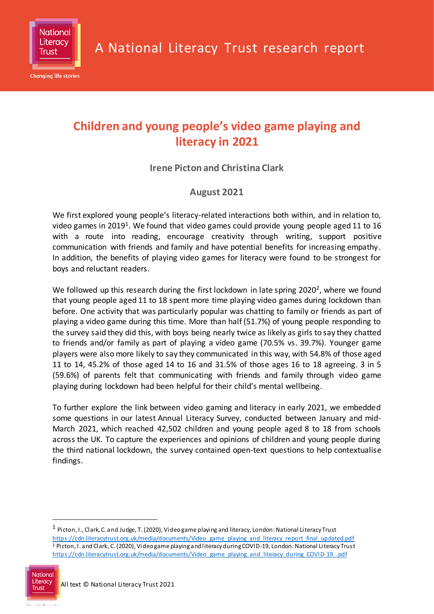

# **Children and young people's video game playing and literacy in 2021**

**Irene Picton and Christina Clark**

## **August 2021**

We first explored young people's literacy-related interactions both within, and in relation to, video games in 2019<sup>1</sup>. We found that video games could provide young people aged 11 to 16 with a route into reading, encourage creativity through writing, support positive communication with friends and family and have potential benefits for increasing empathy. In addition, the benefits of playing video games for literacy were found to be strongest for boys and reluctant readers.

We followed up this research during the first lockdown in late spring 2020<sup>2</sup>, where we found that young people aged 11 to 18 spent more time playing video games during lockdown than before. One activity that was particularly popular was chatting to family or friends as part of playing a video game during this time. More than half (51.7%) of young people responding to the survey said they did this, with boys being nearly twice as likely as girls to say they chatted to friends and/or family as part of playing a video game (70.5% vs. 39.7%). Younger game players were also more likely to say they communicated in this way, with 54.8% of those aged 11 to 14, 45.2% of those aged 14 to 16 and 31.5% of those ages 16 to 18 agreeing. 3 in 5 (59.6%) of parents felt that communicating with friends and family through video game playing during lockdown had been helpful for their child's mental wellbeing.

To further explore the link between video gaming and literacy in early 2021, we embedded some questions in our latest Annual Literacy Survey, conducted between January and mid-March 2021, which reached 42,502 children and young people aged 8 to 18 from schools across the UK. To capture the experiences and opinions of children and young people during the third national lockdown, the survey contained open-text questions to help contextualise findings.

 $\overline{a}$ 

National

 $^{\rm 1}$  Picton, I., Clark, C. and Judge, T. (2020), Video game playing and literacy, London: National Literacy Trust [https://cdn.literacytrust.org.uk/media/documents/Video\\_game\\_playing\\_and\\_literacy\\_report\\_final\\_updated.pdf](https://cdn.literacytrust.org.uk/media/documents/Video_game_playing_and_literacy_report_final_updated.pdf) <sup>2</sup> Picton, I. and Clark, C. (2020), Video game playing and literacy during COVID-19, London: National Literacy Trust [https://cdn.literacytrust.org.uk/media/documents/Video\\_game\\_playing\\_and\\_literacy\\_during\\_COVID-19\\_.pdf](https://cdn.literacytrust.org.uk/media/documents/Video_game_playing_and_literacy_during_COVID-19_.pdf)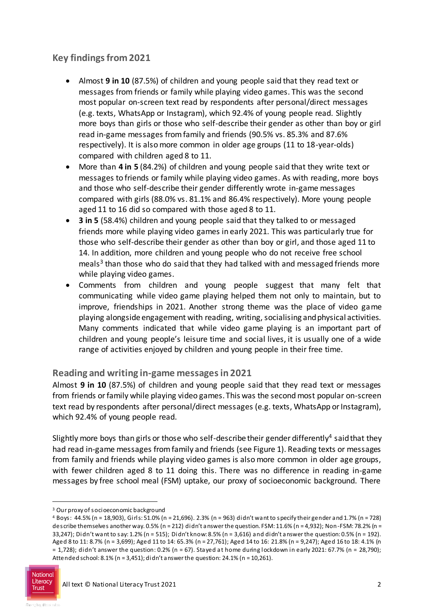# **Key findings from 2021**

- Almost **9 in 10** (87.5%) of children and young people said that they read text or messages from friends or family while playing video games. This was the second most popular on-screen text read by respondents after personal/direct messages (e.g. texts, WhatsApp or Instagram), which 92.4% of young people read. Slightly more boys than girls or those who self-describe their gender as other than boy or girl read in-game messages from family and friends (90.5% vs. 85.3% and 87.6% respectively). It is also more common in older age groups (11 to 18-year-olds) compared with children aged 8 to 11.
- More than **4 in 5** (84.2%) of children and young people said that they write text or messages to friends or family while playing video games. As with reading, more boys and those who self-describe their gender differently wrote in-game messages compared with girls (88.0% vs. 81.1% and 86.4% respectively). More young people aged 11 to 16 did so compared with those aged 8 to 11.
- **3 in 5** (58.4%) children and young people said that they talked to or messaged friends more while playing video games in early 2021. This was particularly true for those who self-describe their gender as other than boy or girl, and those aged 11 to 14. In addition, more children and young people who do not receive free school meals 3 than those who do said that they had talked with and messaged friends more while playing video games.
- Comments from children and young people suggest that many felt that communicating while video game playing helped them not only to maintain, but to improve, friendships in 2021. Another strong theme was the place of video game playing alongside engagement with reading, writing, socialising and physical activities. Many comments indicated that while video game playing is an important part of children and young people's leisure time and social lives, it is usually one of a wide range of activities enjoyed by children and young people in their free time.

### **Reading and writing in-game messages in 2021**

Almost **9 in 10** (87.5%) of children and young people said that they read text or messages from friends or family while playing video games. This was the second most popular on-screen text read by respondents after personal/direct messages (e.g. texts, WhatsApp or Instagram), which 92.4% of young people read.

Slightly more boys than girls or those who self-describe their gender differently<sup>4</sup> said that they had read in-game messages from family and friends (see Figure 1). Reading texts or messages from family and friends while playing video games is also more common in older age groups, with fewer children aged 8 to 11 doing this. There was no difference in reading in-game messages by free school meal (FSM) uptake, our proxy of socioeconomic background. There

 $\overline{a}$ 

<sup>3</sup> Our proxy of socioeconomic background

<sup>4</sup> Boys: 44.5% (n = 18,903), Girls: 51.0% (n = 21,696). 2.3% (n = 963) didn't want to specify their gender and 1.7% (n = 728) describe themselves another way. 0.5% (n = 212) didn't answer the question. FSM: 11.6% (n = 4,932); Non-FSM: 78.2% (n = 33,247); Didn't want to say: 1.2% (n = 515); Didn't know: 8.5% (n = 3,616) and didn't answer the question: 0.5% (n = 192). Aged 8 to 11: 8.7% (n = 3,699); Aged 11 to 14: 65.3% (n = 27,761); Aged 14 to 16: 21.8% (n = 9,247); Aged 16 to 18: 4.1% (n  $= 1,728$ ; didn't answer the question: 0.2% (n = 67). Stayed at home during lockdown in early 2021: 67.7% (n = 28,790); Attended school: 8.1% (n = 3,451); didn't answer the question: 24.1% (n = 10,261).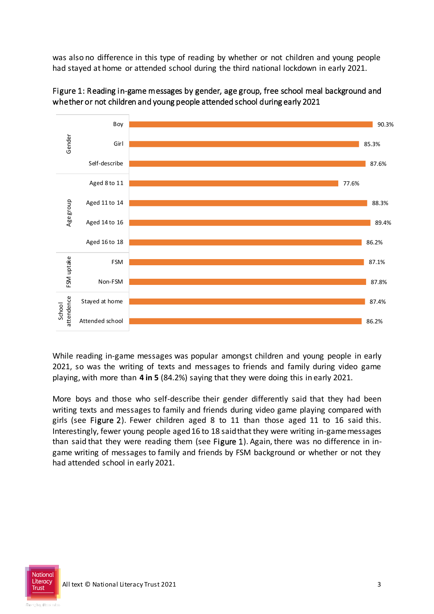was also no difference in this type of reading by whether or not children and young people had stayed at home or attended school during the third national lockdown in early 2021.



Figure 1: Reading in-game messages by gender, age group, free school meal background and whether or not children and young people attended school during early 2021

While reading in-game messages was popular amongst children and young people in early 2021, so was the writing of texts and messages to friends and family during video game playing, with more than **4 in 5** (84.2%) saying that they were doing this in early 2021.

More boys and those who self-describe their gender differently said that they had been writing texts and messages to family and friends during video game playing compared with girls (see Figure 2). Fewer children aged 8 to 11 than those aged 11 to 16 said this. Interestingly, fewer young people aged 16 to 18 said that they were writing in-game messages than said that they were reading them (see Figure 1). Again, there was no difference in ingame writing of messages to family and friends by FSM background or whether or not they had attended school in early 2021.

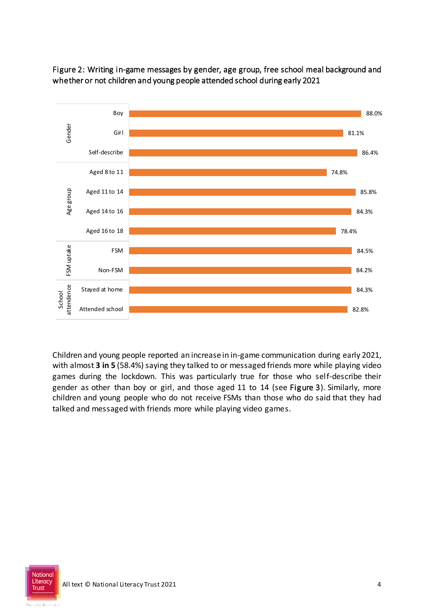

Figure 2: Writing in-game messages by gender, age group, free school meal background and whether or not children and young people attended school during early 2021

Children and young people reported an increase in in-game communication during early 2021, with almost **3 in 5** (58.4%) saying they talked to or messaged friends more while playing video games during the lockdown. This was particularly true for those who self-describe their gender as other than boy or girl, and those aged 11 to 14 (see Figure 3). Similarly, more children and young people who do not receive FSMs than those who do said that they had talked and messaged with friends more while playing video games.

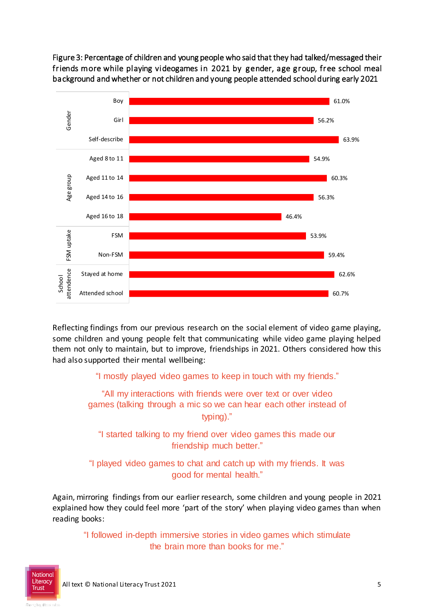Figure 3: Percentage of children and young people who said that they had talked/messaged their friends more while playing videogames in 2021 by gender, age group, free school meal background and whether or not children and young people attended school during early 2021



Reflecting findings from our previous research on the social element of video game playing, some children and young people felt that communicating while video game playing helped them not only to maintain, but to improve, friendships in 2021. Others considered how this had also supported their mental wellbeing:

"I mostly played video games to keep in touch with my friends."

"All my interactions with friends were over text or over video games (talking through a mic so we can hear each other instead of typing)."

"I started talking to my friend over video games this made our friendship much better."

"I played video games to chat and catch up with my friends. It was good for mental health."

Again, mirroring findings from our earlier research, some children and young people in 2021 explained how they could feel more 'part of the story' when playing video games than when reading books:

"I followed in-depth immersive stories in video games which stimulate the brain more than books for me."

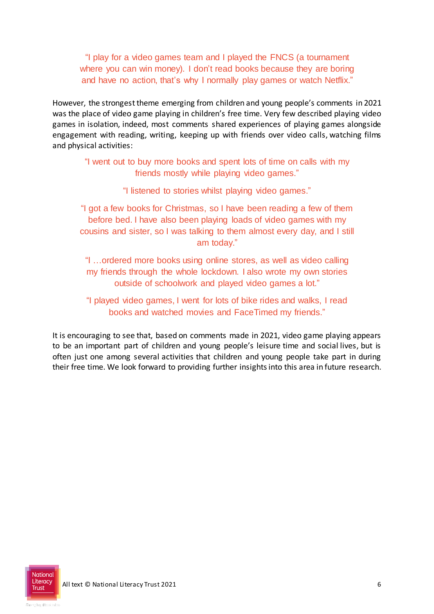"I play for a video games team and I played the FNCS (a tournament where you can win money). I don't read books because they are boring and have no action, that's why I normally play games or watch Netflix."

However, the strongest theme emerging from children and young people's comments in 2021 was the place of video game playing in children's free time. Very few described playing video games in isolation, indeed, most comments shared experiences of playing games alongside engagement with reading, writing, keeping up with friends over video calls, watching films and physical activities:

"I went out to buy more books and spent lots of time on calls with my friends mostly while playing video games."

"I listened to stories whilst playing video games."

"I got a few books for Christmas, so I have been reading a few of them before bed. I have also been playing loads of video games with my cousins and sister, so I was talking to them almost every day, and I still am today."

"I …ordered more books using online stores, as well as video calling my friends through the whole lockdown. I also wrote my own stories outside of schoolwork and played video games a lot."

"I played video games, I went for lots of bike rides and walks, I read books and watched movies and FaceTimed my friends."

It is encouraging to see that, based on comments made in 2021, video game playing appears to be an important part of children and young people's leisure time and social lives, but is often just one among several activities that children and young people take part in during their free time. We look forward to providing further insights into this area in future research.